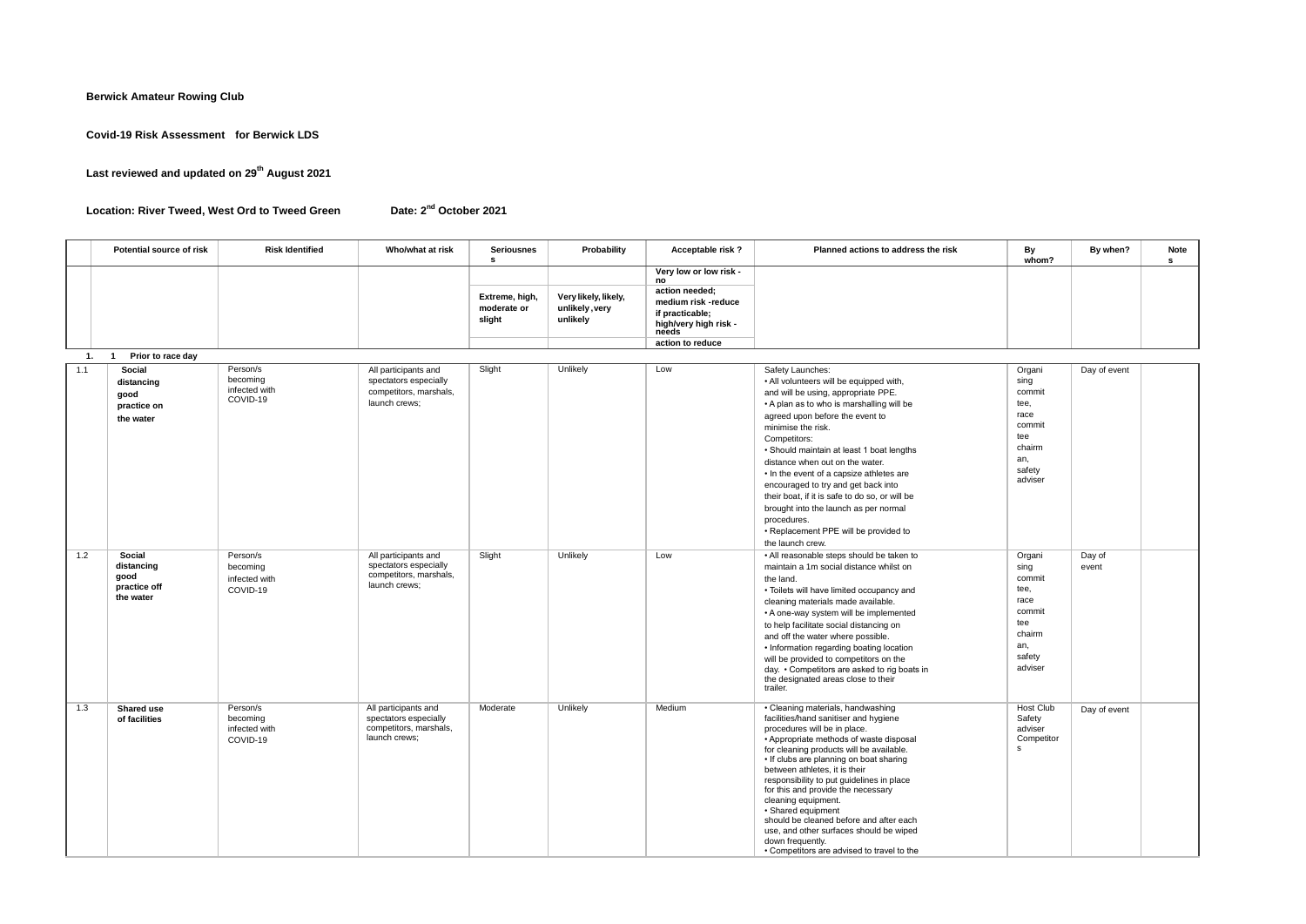**Berwick Amateur Rowing Club**

**Covid-19 Risk Assessment for Berwick LDS**

**Last reviewed and updated on 29th August 2021**

**Location: River Tweed, West Ord to Tweed Green** 

Date: 2<sup>nd</sup> October 2021

|     | Potential source of risk                                  | <b>Risk Identified</b>                            | Who/what at risk                                                                         | <b>Seriousnes</b><br>s                  | Probability                                        | Acceptable risk?                                                                                                           | Planned actions to address the risk                                                                                                                                                                                                                                                                                                                                                                                                                                                                                                                                   | By<br>whom?                                                                                     | By when?        | Note<br>s |
|-----|-----------------------------------------------------------|---------------------------------------------------|------------------------------------------------------------------------------------------|-----------------------------------------|----------------------------------------------------|----------------------------------------------------------------------------------------------------------------------------|-----------------------------------------------------------------------------------------------------------------------------------------------------------------------------------------------------------------------------------------------------------------------------------------------------------------------------------------------------------------------------------------------------------------------------------------------------------------------------------------------------------------------------------------------------------------------|-------------------------------------------------------------------------------------------------|-----------------|-----------|
|     |                                                           |                                                   |                                                                                          | Extreme, high,<br>moderate or<br>slight | Very likely, likely,<br>unlikely, very<br>unlikely | Very low or low risk -<br>no<br>action needed;<br>medium risk -reduce<br>if practicable;<br>high/very high risk -<br>needs |                                                                                                                                                                                                                                                                                                                                                                                                                                                                                                                                                                       |                                                                                                 |                 |           |
|     |                                                           |                                                   |                                                                                          |                                         |                                                    | action to reduce                                                                                                           |                                                                                                                                                                                                                                                                                                                                                                                                                                                                                                                                                                       |                                                                                                 |                 |           |
| 1.  | Prior to race day<br>$\overline{1}$                       |                                                   |                                                                                          |                                         |                                                    |                                                                                                                            |                                                                                                                                                                                                                                                                                                                                                                                                                                                                                                                                                                       |                                                                                                 |                 |           |
| 1.1 | Social<br>distancing<br>good<br>practice on<br>the water  | Person/s<br>becoming<br>infected with<br>COVID-19 | All participants and<br>spectators especially<br>competitors, marshals,<br>launch crews: | Slight                                  | Unlikely                                           | Low                                                                                                                        | Safety Launches:<br>. All volunteers will be equipped with,<br>and will be using, appropriate PPE.<br>• A plan as to who is marshalling will be<br>agreed upon before the event to<br>minimise the risk.<br>Competitors:<br>• Should maintain at least 1 boat lengths<br>distance when out on the water.<br>• In the event of a capsize athletes are<br>encouraged to try and get back into<br>their boat, if it is safe to do so, or will be<br>brought into the launch as per normal<br>procedures.<br>• Replacement PPE will be provided to<br>the launch crew.    | Organi<br>sing<br>commit<br>tee,<br>race<br>commit<br>tee<br>chairm<br>an,<br>safety<br>adviser | Day of event    |           |
| 1.2 | Social<br>distancing<br>good<br>practice off<br>the water | Person/s<br>becoming<br>infected with<br>COVID-19 | All participants and<br>spectators especially<br>competitors, marshals,<br>launch crews; | Slight                                  | Unlikely                                           | Low                                                                                                                        | . All reasonable steps should be taken to<br>maintain a 1m social distance whilst on<br>the land.<br>• Toilets will have limited occupancy and<br>cleaning materials made available.<br>• A one-way system will be implemented<br>to help facilitate social distancing on<br>and off the water where possible.<br>• Information regarding boating location<br>will be provided to competitors on the<br>day. • Competitors are asked to rig boats in<br>the designated areas close to their<br>trailer.                                                               | Organi<br>sing<br>commit<br>tee,<br>race<br>commit<br>tee<br>chairm<br>an,<br>safety<br>adviser | Day of<br>event |           |
| 1.3 | <b>Shared use</b><br>of facilities                        | Person/s<br>becoming<br>infected with<br>COVID-19 | All participants and<br>spectators especially<br>competitors, marshals,<br>launch crews; | Moderate                                | Unlikely                                           | Medium                                                                                                                     | • Cleaning materials, handwashing<br>facilities/hand sanitiser and hygiene<br>procedures will be in place.<br>• Appropriate methods of waste disposal<br>for cleaning products will be available.<br>• If clubs are planning on boat sharing<br>between athletes, it is their<br>responsibility to put quidelines in place<br>for this and provide the necessary<br>cleaning equipment.<br>· Shared equipment<br>should be cleaned before and after each<br>use, and other surfaces should be wiped<br>down frequently.<br>• Competitors are advised to travel to the | <b>Host Club</b><br>Safety<br>adviser<br>Competitor<br>s                                        | Day of event    |           |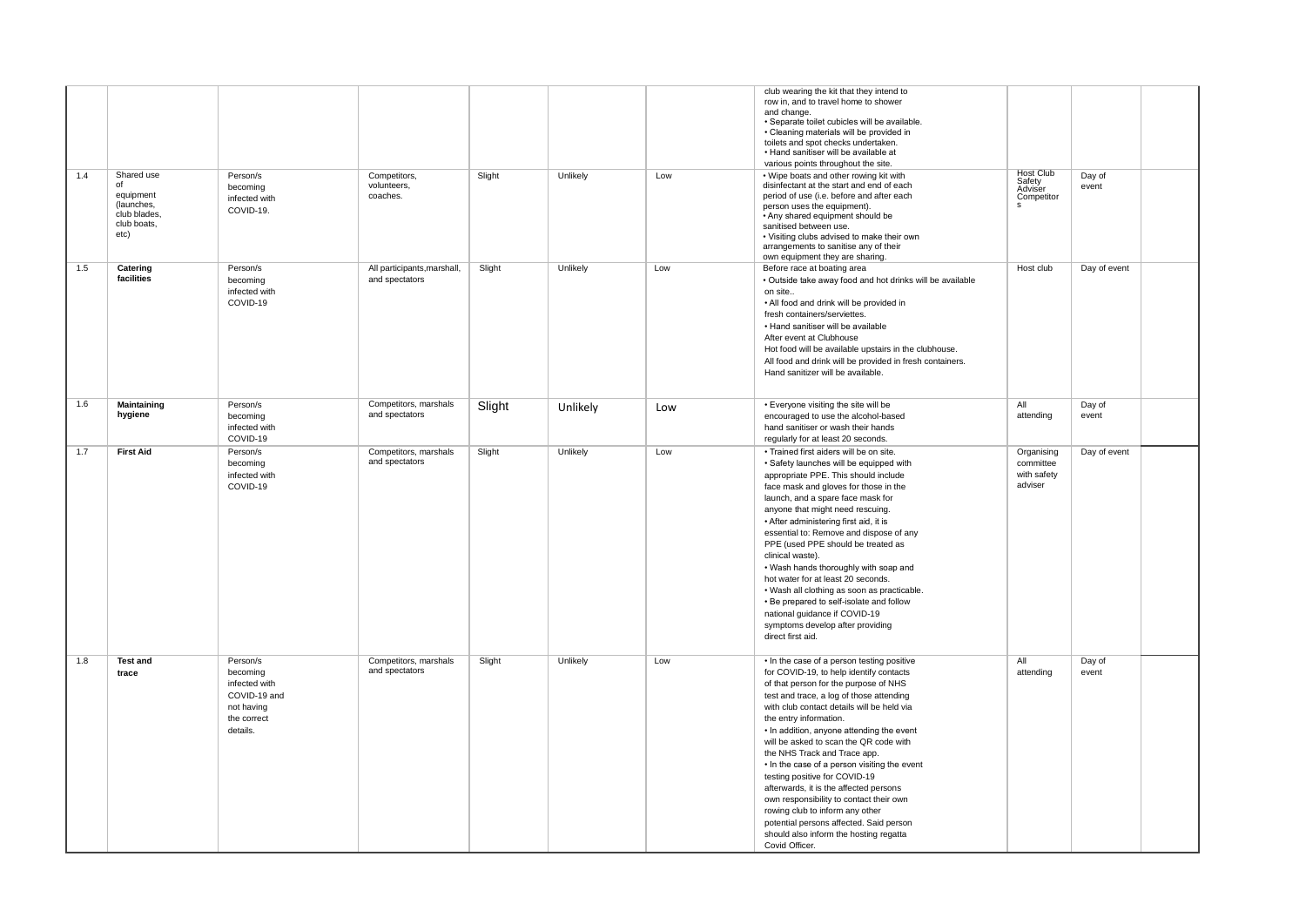| 1.4 | Shared use<br>of<br>equipment<br>(launches.<br>club blades,<br>club boats,<br>etc) | Person/s<br>becoming<br>infected with<br>COVID-19.                                             | Competitors,<br>volunteers,<br>coaches.       | Slight | Unlikely | Low | club wearing the kit that they intend to<br>row in, and to travel home to shower<br>and change.<br>· Separate toilet cubicles will be available.<br>• Cleaning materials will be provided in<br>toilets and spot checks undertaken.<br>· Hand sanitiser will be available at<br>various points throughout the site.<br>. Wipe boats and other rowing kit with<br>disinfectant at the start and end of each<br>period of use (i.e. before and after each<br>person uses the equipment).<br>. Any shared equipment should be<br>sanitised between use.<br>• Visiting clubs advised to make their own<br>arrangements to sanitise any of their                                               | Host Club<br>Safety<br>Adviser<br>Competitor      | Day of<br>event |
|-----|------------------------------------------------------------------------------------|------------------------------------------------------------------------------------------------|-----------------------------------------------|--------|----------|-----|-------------------------------------------------------------------------------------------------------------------------------------------------------------------------------------------------------------------------------------------------------------------------------------------------------------------------------------------------------------------------------------------------------------------------------------------------------------------------------------------------------------------------------------------------------------------------------------------------------------------------------------------------------------------------------------------|---------------------------------------------------|-----------------|
| 1.5 | Catering<br>facilities                                                             | Person/s<br>becoming<br>infected with<br>COVID-19                                              | All participants, marshall,<br>and spectators | Slight | Unlikely | Low | own equipment they are sharing.<br>Before race at boating area<br>· Outside take away food and hot drinks will be available<br>on site<br>. All food and drink will be provided in<br>fresh containers/serviettes.<br>• Hand sanitiser will be available<br>After event at Clubhouse<br>Hot food will be available upstairs in the clubhouse.<br>All food and drink will be provided in fresh containers.<br>Hand sanitizer will be available.                                                                                                                                                                                                                                            | Host club                                         | Day of event    |
| 1.6 | Maintaining<br>hygiene                                                             | Person/s<br>becoming<br>infected with<br>COVID-19                                              | Competitors, marshals<br>and spectators       | Slight | Unlikely | Low | • Everyone visiting the site will be<br>encouraged to use the alcohol-based<br>hand sanitiser or wash their hands<br>regularly for at least 20 seconds.                                                                                                                                                                                                                                                                                                                                                                                                                                                                                                                                   | All<br>attending                                  | Day of<br>event |
| 1.7 | <b>First Aid</b>                                                                   | Person/s<br>becoming<br>infected with<br>COVID-19                                              | Competitors, marshals<br>and spectators       | Slight | Unlikely | Low | • Trained first aiders will be on site.<br>· Safety launches will be equipped with<br>appropriate PPE. This should include<br>face mask and gloves for those in the<br>launch, and a spare face mask for<br>anyone that might need rescuing.<br>• After administering first aid, it is<br>essential to: Remove and dispose of any<br>PPE (used PPE should be treated as<br>clinical waste).<br>. Wash hands thoroughly with soap and<br>hot water for at least 20 seconds.<br>. Wash all clothing as soon as practicable.<br>• Be prepared to self-isolate and follow<br>national quidance if COVID-19<br>symptoms develop after providing<br>direct first aid.                           | Organising<br>committee<br>with safety<br>adviser | Day of event    |
| 1.8 | <b>Test and</b><br>trace                                                           | Person/s<br>becoming<br>infected with<br>COVID-19 and<br>not having<br>the correct<br>details. | Competitors, marshals<br>and spectators       | Slight | Unlikely | Low | • In the case of a person testing positive<br>for COVID-19, to help identify contacts<br>of that person for the purpose of NHS<br>test and trace, a log of those attending<br>with club contact details will be held via<br>the entry information.<br>• In addition, anyone attending the event<br>will be asked to scan the QR code with<br>the NHS Track and Trace app.<br>• In the case of a person visiting the event<br>testing positive for COVID-19<br>afterwards, it is the affected persons<br>own responsibility to contact their own<br>rowing club to inform any other<br>potential persons affected. Said person<br>should also inform the hosting regatta<br>Covid Officer. | All<br>attending                                  | Day of<br>event |